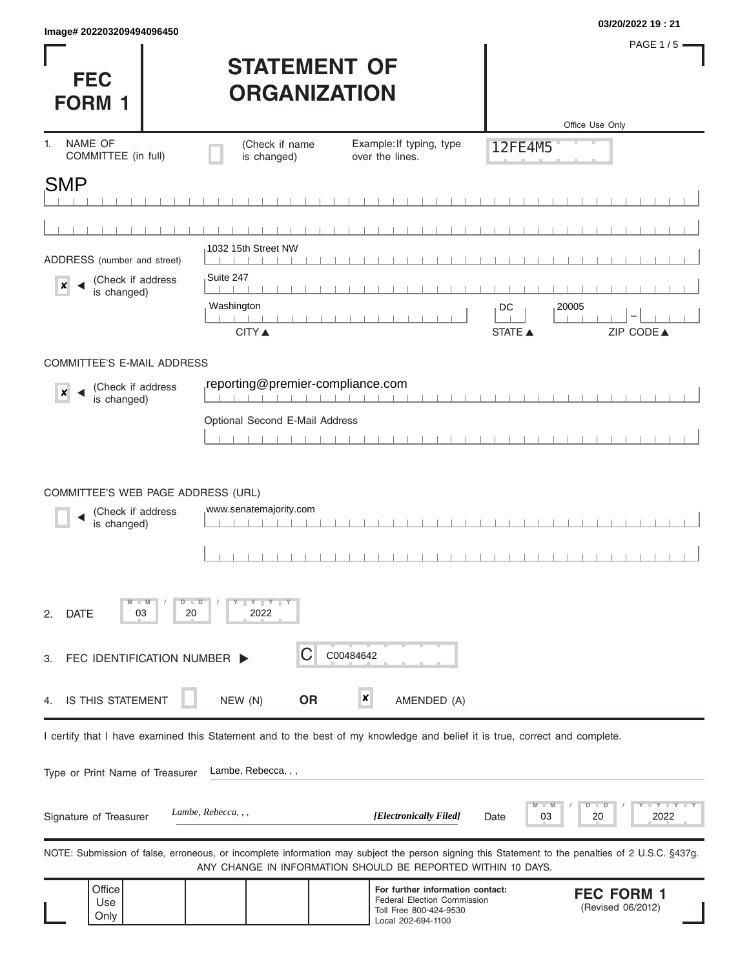|                           | 03/20/2022 19:21 |
|---------------------------|------------------|
| Image# 202203209494096450 |                  |

**FEC** 

PAGE 1 / 5 =

| <b>STATEMENT OF</b> |
|---------------------|
| <b>ORGANIZATION</b> |

| <b>FORM 1</b>                                                          |                           | UNUANIZATIVN                                                                                                               |           |                                                                                                                 |                                |                                                                                                                                                   |
|------------------------------------------------------------------------|---------------------------|----------------------------------------------------------------------------------------------------------------------------|-----------|-----------------------------------------------------------------------------------------------------------------|--------------------------------|---------------------------------------------------------------------------------------------------------------------------------------------------|
|                                                                        |                           |                                                                                                                            |           |                                                                                                                 |                                | Office Use Only                                                                                                                                   |
| NAME OF<br>1 <sub>1</sub><br>COMMITTEE (in full)                       |                           | (Check if name<br>is changed)                                                                                              |           | Example: If typing, type<br>over the lines.                                                                     | 12FE4M5                        |                                                                                                                                                   |
| SMP                                                                    |                           |                                                                                                                            |           |                                                                                                                 |                                |                                                                                                                                                   |
|                                                                        |                           |                                                                                                                            |           |                                                                                                                 |                                |                                                                                                                                                   |
|                                                                        |                           |                                                                                                                            |           |                                                                                                                 |                                |                                                                                                                                                   |
| ADDRESS (number and street)                                            |                           | 1032 15th Street NW                                                                                                        |           |                                                                                                                 |                                |                                                                                                                                                   |
| (Check if address<br>$\boldsymbol{x}$<br>is changed)                   |                           | Suite 247                                                                                                                  |           |                                                                                                                 |                                |                                                                                                                                                   |
|                                                                        |                           | Washington                                                                                                                 |           |                                                                                                                 | DC                             | 20005                                                                                                                                             |
|                                                                        |                           | <b>CITY ▲</b>                                                                                                              |           |                                                                                                                 | <b>STATE ▲</b>                 | ZIP CODE▲                                                                                                                                         |
| <b>COMMITTEE'S E-MAIL ADDRESS</b>                                      |                           |                                                                                                                            |           |                                                                                                                 |                                |                                                                                                                                                   |
|                                                                        |                           | reporting@premier-compliance.com                                                                                           |           |                                                                                                                 |                                |                                                                                                                                                   |
| (Check if address<br>$\boldsymbol{x}$<br>is changed)                   |                           |                                                                                                                            |           |                                                                                                                 |                                |                                                                                                                                                   |
|                                                                        |                           | Optional Second E-Mail Address                                                                                             |           |                                                                                                                 |                                |                                                                                                                                                   |
|                                                                        |                           |                                                                                                                            |           |                                                                                                                 |                                |                                                                                                                                                   |
|                                                                        |                           |                                                                                                                            |           |                                                                                                                 |                                |                                                                                                                                                   |
| COMMITTEE'S WEB PAGE ADDRESS (URL)<br>(Check if address<br>is changed) |                           | www.senatemajority.com                                                                                                     |           |                                                                                                                 |                                |                                                                                                                                                   |
| $-W$<br><b>DATE</b><br>03<br>2.                                        | D<br>$\blacksquare$<br>20 | $Y$ $Y$ $Y$<br>2022                                                                                                        |           |                                                                                                                 |                                |                                                                                                                                                   |
| FEC IDENTIFICATION NUMBER  <br>3.                                      |                           | С                                                                                                                          | C00484642 |                                                                                                                 |                                |                                                                                                                                                   |
| IS THIS STATEMENT<br>4.                                                |                           | <b>OR</b><br>NEW (N)                                                                                                       | ×         | AMENDED (A)                                                                                                     |                                |                                                                                                                                                   |
|                                                                        |                           | I certify that I have examined this Statement and to the best of my knowledge and belief it is true, correct and complete. |           |                                                                                                                 |                                |                                                                                                                                                   |
|                                                                        |                           |                                                                                                                            |           |                                                                                                                 |                                |                                                                                                                                                   |
| Type or Print Name of Treasurer                                        |                           | Lambe, Rebecca, , ,                                                                                                        |           |                                                                                                                 |                                |                                                                                                                                                   |
| Signature of Treasurer                                                 |                           | Lambe, Rebecca, , ,                                                                                                        |           | [Electronically Filed]                                                                                          | $\blacksquare$ M<br>03<br>Date | Y TY<br>D<br>D<br>2022<br>20                                                                                                                      |
|                                                                        |                           | ANY CHANGE IN INFORMATION SHOULD BE REPORTED WITHIN 10 DAYS.                                                               |           |                                                                                                                 |                                | NOTE: Submission of false, erroneous, or incomplete information may subject the person signing this Statement to the penalties of 2 U.S.C. §437g. |
| Office<br>Use<br>Only                                                  |                           |                                                                                                                            |           | For further information contact:<br>Federal Election Commission<br>Toll Free 800-424-9530<br>Local 202-694-1100 |                                | <b>FEC FORM 1</b><br>(Revised 06/2012)                                                                                                            |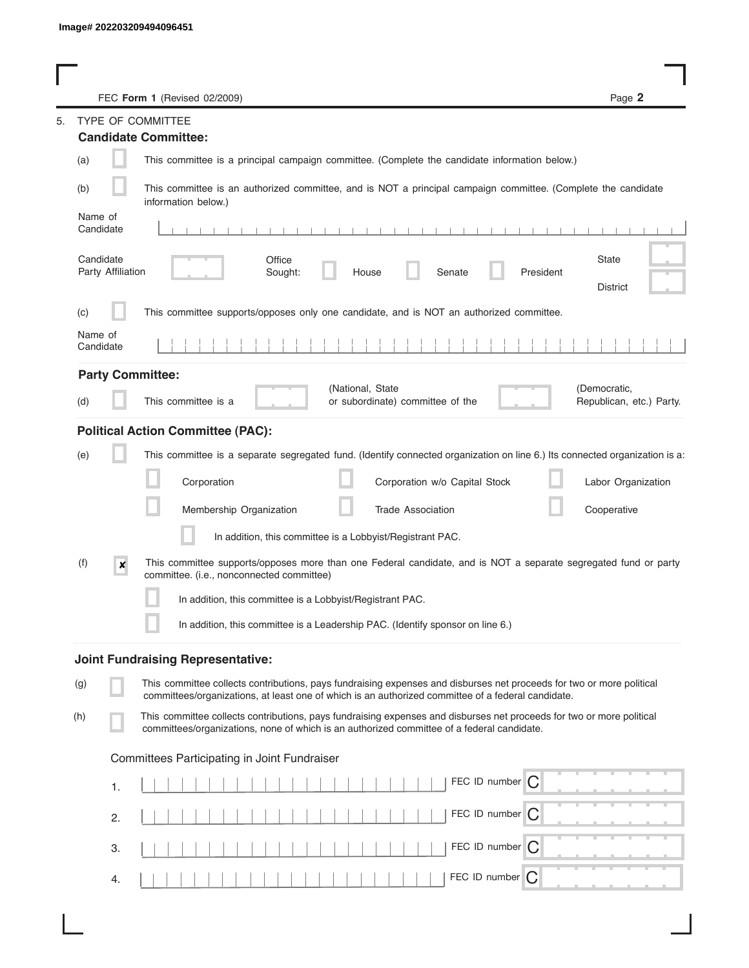|           |                   | FEC Form 1 (Revised 02/2009)                                                                                                                                                                                                | Page 2                                   |
|-----------|-------------------|-----------------------------------------------------------------------------------------------------------------------------------------------------------------------------------------------------------------------------|------------------------------------------|
|           |                   | <b>TYPE OF COMMITTEE</b><br><b>Candidate Committee:</b>                                                                                                                                                                     |                                          |
| (a)       |                   | This committee is a principal campaign committee. (Complete the candidate information below.)                                                                                                                               |                                          |
|           |                   |                                                                                                                                                                                                                             |                                          |
| (b)       |                   | This committee is an authorized committee, and is NOT a principal campaign committee. (Complete the candidate<br>information below.)                                                                                        |                                          |
| Name of   |                   |                                                                                                                                                                                                                             |                                          |
| Candidate |                   |                                                                                                                                                                                                                             |                                          |
| Candidate | Party Affiliation | Office<br>Sought:<br>Senate<br>President<br>House                                                                                                                                                                           | <b>State</b>                             |
|           |                   |                                                                                                                                                                                                                             | <b>District</b>                          |
| (c)       |                   | This committee supports/opposes only one candidate, and is NOT an authorized committee.                                                                                                                                     |                                          |
| Name of   |                   |                                                                                                                                                                                                                             |                                          |
| Candidate |                   |                                                                                                                                                                                                                             |                                          |
|           |                   | <b>Party Committee:</b>                                                                                                                                                                                                     |                                          |
| (d)       |                   | (National, State<br>This committee is a<br>or subordinate) committee of the                                                                                                                                                 | (Democratic,<br>Republican, etc.) Party. |
|           |                   |                                                                                                                                                                                                                             |                                          |
|           |                   | <b>Political Action Committee (PAC):</b>                                                                                                                                                                                    |                                          |
| (e)       |                   | This committee is a separate segregated fund. (Identify connected organization on line 6.) Its connected organization is a:                                                                                                 |                                          |
|           |                   | Corporation<br>Corporation w/o Capital Stock                                                                                                                                                                                | Labor Organization                       |
|           |                   | Membership Organization<br><b>Trade Association</b>                                                                                                                                                                         | Cooperative                              |
|           |                   | In addition, this committee is a Lobbyist/Registrant PAC.                                                                                                                                                                   |                                          |
| (f)       |                   | This committee supports/opposes more than one Federal candidate, and is NOT a separate segregated fund or party                                                                                                             |                                          |
|           | ×                 | committee. (i.e., nonconnected committee)                                                                                                                                                                                   |                                          |
|           |                   | In addition, this committee is a Lobbyist/Registrant PAC.                                                                                                                                                                   |                                          |
|           |                   | In addition, this committee is a Leadership PAC. (Identify sponsor on line 6.)                                                                                                                                              |                                          |
|           |                   |                                                                                                                                                                                                                             |                                          |
|           |                   | <b>Joint Fundraising Representative:</b>                                                                                                                                                                                    |                                          |
| (g)       |                   | This committee collects contributions, pays fundraising expenses and disburses net proceeds for two or more political<br>committees/organizations, at least one of which is an authorized committee of a federal candidate. |                                          |
| (h)       |                   | This committee collects contributions, pays fundraising expenses and disburses net proceeds for two or more political                                                                                                       |                                          |
|           |                   | committees/organizations, none of which is an authorized committee of a federal candidate.                                                                                                                                  |                                          |
|           |                   | Committees Participating in Joint Fundraiser                                                                                                                                                                                |                                          |
|           | 1.                | FEC ID number $\bigcap$                                                                                                                                                                                                     |                                          |
|           |                   |                                                                                                                                                                                                                             |                                          |
|           | 2.                | FEC ID number   C                                                                                                                                                                                                           |                                          |
|           | 3.                | FEC ID number   C                                                                                                                                                                                                           |                                          |
|           |                   |                                                                                                                                                                                                                             |                                          |
|           | 4.                | FEC ID number<br>C                                                                                                                                                                                                          |                                          |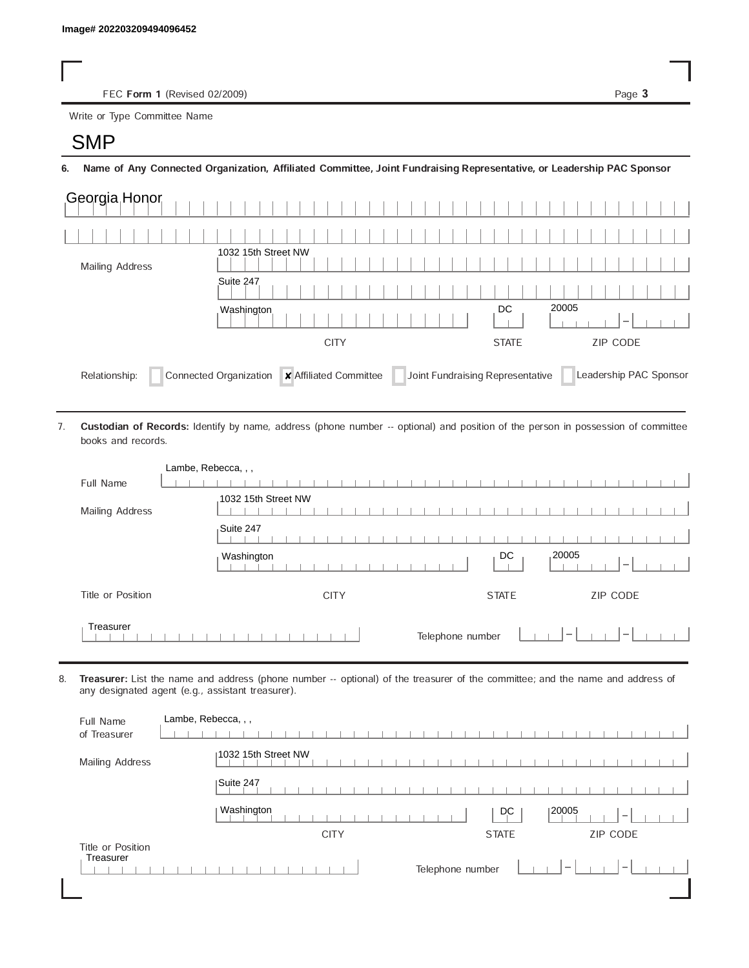FEC Form 1 (Revised 02/2009) Page 3

Write or Type Committee Name Image# 202203209494096452<br>FEC Form 1 (Revise<br>Write or Type Committee Na

6. Name of Any Connected Organization, Affiliated Committee, Joint Fundraising Representative, or Leadership PAC Sponsor

| Georgia Honor          |                                                                                      |                                 |
|------------------------|--------------------------------------------------------------------------------------|---------------------------------|
|                        |                                                                                      |                                 |
| <b>Mailing Address</b> | 1032 15th Street NW                                                                  |                                 |
|                        | Suite 247                                                                            |                                 |
|                        | Washington                                                                           | 20005<br>DC                     |
|                        | <b>CITY</b>                                                                          | <b>ZIP CODE</b><br><b>STATE</b> |
| Relationship:          | x Affiliated Committee<br>Joint Fundraising Representative<br>Connected Organization | Leadership PAC Sponsor          |

Custodian of Records: Identify by name, address (phone number -- optional) and position of the person in possession of committee books and records. 7.

| Lambe, Rebecca, , , |                                                        |
|---------------------|--------------------------------------------------------|
| Full Name           |                                                        |
|                     | 1032 15th Street NW                                    |
| Mailing Address     |                                                        |
|                     | Suite 247                                              |
|                     | ,20005<br>DC<br>Washington<br>$\overline{\phantom{a}}$ |
| Title or Position   | ZIP CODE<br><b>CITY</b><br><b>STATE</b>                |
| Treasurer           | Telephone number<br>$\overline{\phantom{a}}$           |

8. Treasurer: List the name and address (phone number -- optional) of the treasurer of the committee; and the name and address of any designated agent (e.g., assistant treasurer).

| Full Name<br>of Treasurer      | Lambe, Rebecca, , ,                                                      |
|--------------------------------|--------------------------------------------------------------------------|
| Mailing Address                | 1032 15th Street NW                                                      |
|                                | Suite 247                                                                |
|                                | Washington<br> 20005<br>DC<br>$\overline{\phantom{a}}$                   |
|                                | <b>ZIP CODE</b><br><b>STATE</b><br><b>CITY</b>                           |
| Title or Position<br>Treasurer | Telephone number<br>$\hspace{0.1mm}-\hspace{0.1mm}$<br>$\qquad \qquad -$ |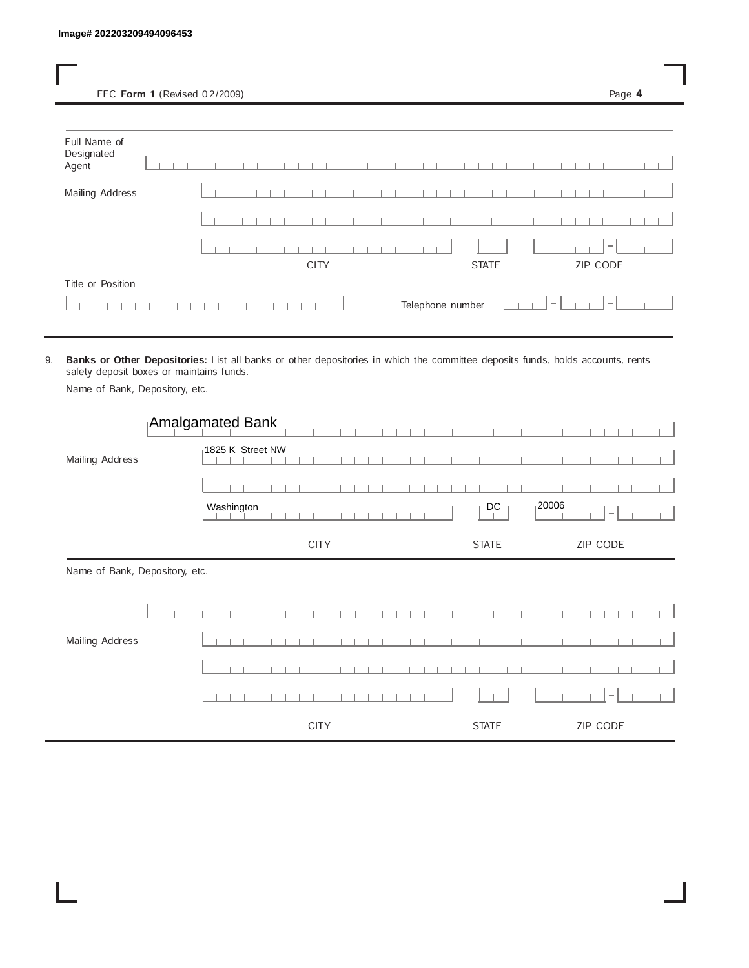FEC Form 1 (Revised 02/2009) Page 4

| Full Name of<br>Designated<br>Agent |  |  |  |  |  |             |  |  |  |  |  |                  |              |  |        |  |                              |  |  |
|-------------------------------------|--|--|--|--|--|-------------|--|--|--|--|--|------------------|--------------|--|--------|--|------------------------------|--|--|
| Mailing Address                     |  |  |  |  |  |             |  |  |  |  |  |                  |              |  |        |  |                              |  |  |
|                                     |  |  |  |  |  |             |  |  |  |  |  |                  |              |  |        |  |                              |  |  |
|                                     |  |  |  |  |  | <b>CITY</b> |  |  |  |  |  |                  | <b>STATE</b> |  |        |  | $\hspace{0.1mm}$<br>ZIP CODE |  |  |
| Title or Position                   |  |  |  |  |  |             |  |  |  |  |  | Telephone number |              |  | $\sim$ |  | $\sim$                       |  |  |

9. Banks or Other Depositories: List all banks or other depositories in which the committee deposits funds, holds accounts, rents safety deposit boxes or maintains funds.

Name of Bank, Depository, etc.

|                                | Amalgamated Bank |              |                                    |
|--------------------------------|------------------|--------------|------------------------------------|
| Mailing Address                | 1825 K Street NW |              |                                    |
|                                |                  |              |                                    |
|                                | Washington       | DC           | 120006<br>$\overline{\phantom{a}}$ |
|                                | <b>CITY</b>      | <b>STATE</b> | ZIP CODE                           |
| Name of Bank, Depository, etc. |                  |              |                                    |
|                                |                  |              |                                    |
| Mailing Address                |                  |              |                                    |
|                                |                  |              |                                    |
|                                |                  |              |                                    |
|                                | <b>CITY</b>      | <b>STATE</b> | ZIP CODE                           |